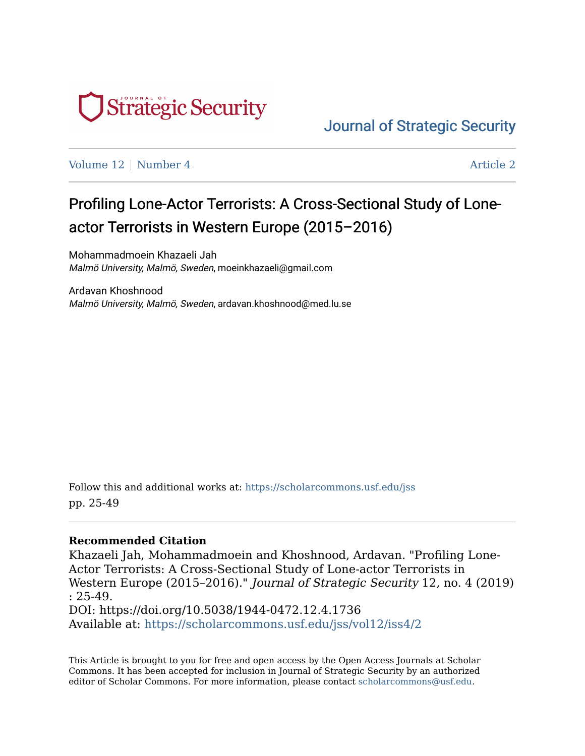

[Journal of Strategic Security](https://scholarcommons.usf.edu/jss) 

[Volume 12](https://scholarcommons.usf.edu/jss/vol12) | [Number 4](https://scholarcommons.usf.edu/jss/vol12/iss4) Article 2

# Profiling Lone-Actor Terrorists: A Cross-Sectional Study of Loneactor Terrorists in Western Europe (2015–2016)

Mohammadmoein Khazaeli Jah Malmö University, Malmö, Sweden, moeinkhazaeli@gmail.com

Ardavan Khoshnood Malmö University, Malmö, Sweden, ardavan.khoshnood@med.lu.se

Follow this and additional works at: [https://scholarcommons.usf.edu/jss](https://scholarcommons.usf.edu/jss?utm_source=scholarcommons.usf.edu%2Fjss%2Fvol12%2Fiss4%2F2&utm_medium=PDF&utm_campaign=PDFCoverPages)  pp. 25-49

#### **Recommended Citation**

Khazaeli Jah, Mohammadmoein and Khoshnood, Ardavan. "Profiling Lone-Actor Terrorists: A Cross-Sectional Study of Lone-actor Terrorists in Western Europe (2015–2016)." Journal of Strategic Security 12, no. 4 (2019) : 25-49. DOI: https://doi.org/10.5038/1944-0472.12.4.1736 Available at: [https://scholarcommons.usf.edu/jss/vol12/iss4/2](https://scholarcommons.usf.edu/jss/vol12/iss4/2?utm_source=scholarcommons.usf.edu%2Fjss%2Fvol12%2Fiss4%2F2&utm_medium=PDF&utm_campaign=PDFCoverPages) 

This Article is brought to you for free and open access by the Open Access Journals at Scholar Commons. It has been accepted for inclusion in Journal of Strategic Security by an authorized editor of Scholar Commons. For more information, please contact [scholarcommons@usf.edu](mailto:scholarcommons@usf.edu).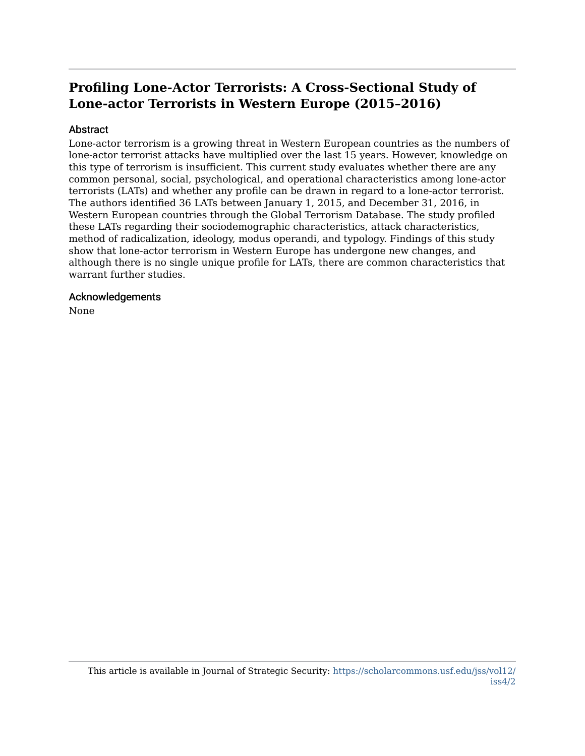## **Profiling Lone-Actor Terrorists: A Cross-Sectional Study of Lone-actor Terrorists in Western Europe (2015–2016)**

#### Abstract

Lone-actor terrorism is a growing threat in Western European countries as the numbers of lone-actor terrorist attacks have multiplied over the last 15 years. However, knowledge on this type of terrorism is insufficient. This current study evaluates whether there are any common personal, social, psychological, and operational characteristics among lone-actor terrorists (LATs) and whether any profile can be drawn in regard to a lone-actor terrorist. The authors identified 36 LATs between January 1, 2015, and December 31, 2016, in Western European countries through the Global Terrorism Database. The study profiled these LATs regarding their sociodemographic characteristics, attack characteristics, method of radicalization, ideology, modus operandi, and typology. Findings of this study show that lone-actor terrorism in Western Europe has undergone new changes, and although there is no single unique profile for LATs, there are common characteristics that warrant further studies.

#### Acknowledgements

None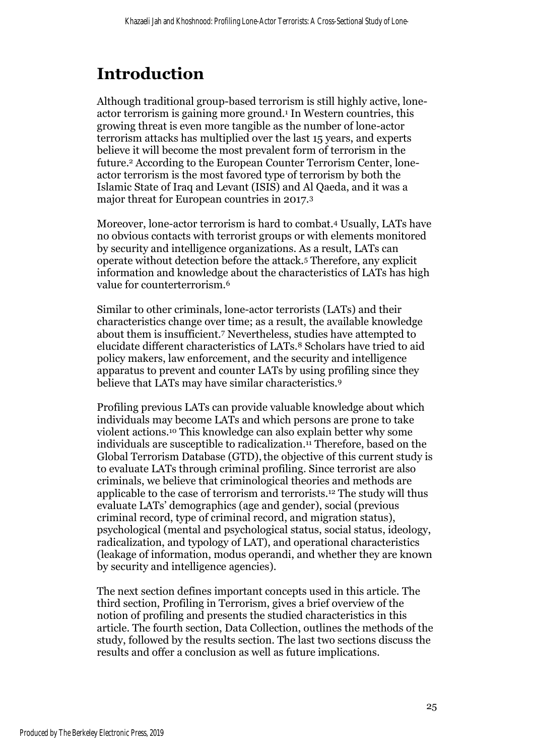# **Introduction**

Although traditional group-based terrorism is still highly active, loneactor terrorism is gaining more ground. <sup>1</sup> In Western countries, this growing threat is even more tangible as the number of lone-actor terrorism attacks has multiplied over the last 15 years, and experts believe it will become the most prevalent form of terrorism in the future. <sup>2</sup> According to the European Counter Terrorism Center, loneactor terrorism is the most favored type of terrorism by both the Islamic State of Iraq and Levant (ISIS) and Al Qaeda, and it was a major threat for European countries in 2017.<sup>3</sup>

Moreover, lone-actor terrorism is hard to combat.<sup>4</sup> Usually, LATs have no obvious contacts with terrorist groups or with elements monitored by security and intelligence organizations. As a result, LATs can operate without detection before the attack.<sup>5</sup> Therefore, any explicit information and knowledge about the characteristics of LATs has high value for counterterrorism.<sup>6</sup>

Similar to other criminals, lone-actor terrorists (LATs) and their characteristics change over time; as a result, the available knowledge about them is insufficient.<sup>7</sup> Nevertheless, studies have attempted to elucidate different characteristics of LATs.<sup>8</sup> Scholars have tried to aid policy makers, law enforcement, and the security and intelligence apparatus to prevent and counter LATs by using profiling since they believe that LATs may have similar characteristics.<sup>9</sup>

Profiling previous LATs can provide valuable knowledge about which individuals may become LATs and which persons are prone to take violent actions.<sup>10</sup> This knowledge can also explain better why some individuals are susceptible to radicalization. <sup>11</sup> Therefore, based on the Global Terrorism Database (GTD), the objective of this current study is to evaluate LATs through criminal profiling. Since terrorist are also criminals, we believe that criminological theories and methods are applicable to the case of terrorism and terrorists.<sup>12</sup> The study will thus evaluate LATs' demographics (age and gender), social (previous criminal record, type of criminal record, and migration status), psychological (mental and psychological status, social status, ideology, radicalization, and typology of LAT), and operational characteristics (leakage of information, modus operandi, and whether they are known by security and intelligence agencies).

The next section defines important concepts used in this article. The third section, Profiling in Terrorism, gives a brief overview of the notion of profiling and presents the studied characteristics in this article. The fourth section, Data Collection, outlines the methods of the study, followed by the results section. The last two sections discuss the results and offer a conclusion as well as future implications.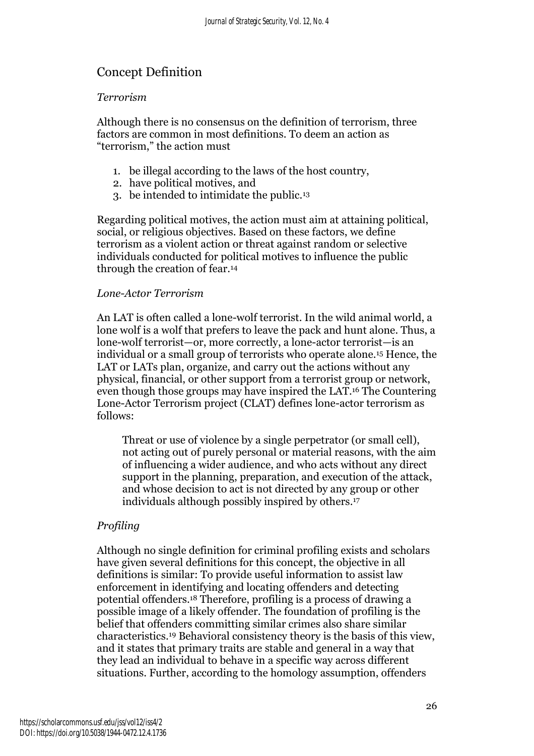## Concept Definition

#### *Terrorism*

Although there is no consensus on the definition of terrorism, three factors are common in most definitions. To deem an action as "terrorism," the action must

- 1. be illegal according to the laws of the host country,
- 2. have political motives, and
- 3. be intended to intimidate the public.<sup>13</sup>

Regarding political motives, the action must aim at attaining political, social, or religious objectives. Based on these factors, we define terrorism as a violent action or threat against random or selective individuals conducted for political motives to influence the public through the creation of fear.<sup>14</sup>

#### *Lone-Actor Terrorism*

An LAT is often called a lone-wolf terrorist. In the wild animal world, a lone wolf is a wolf that prefers to leave the pack and hunt alone. Thus, a lone-wolf terrorist—or, more correctly, a lone-actor terrorist—is an individual or a small group of terrorists who operate alone.<sup>15</sup> Hence, the LAT or LATs plan, organize, and carry out the actions without any physical, financial, or other support from a terrorist group or network, even though those groups may have inspired the LAT.<sup>16</sup> The Countering Lone-Actor Terrorism project (CLAT) defines lone-actor terrorism as follows:

Threat or use of violence by a single perpetrator (or small cell), not acting out of purely personal or material reasons, with the aim of influencing a wider audience, and who acts without any direct support in the planning, preparation, and execution of the attack, and whose decision to act is not directed by any group or other individuals although possibly inspired by others. 17

## *Profiling*

Although no single definition for criminal profiling exists and scholars have given several definitions for this concept, the objective in all definitions is similar: To provide useful information to assist law enforcement in identifying and locating offenders and detecting potential offenders.<sup>18</sup> Therefore, profiling is a process of drawing a possible image of a likely offender. The foundation of profiling is the belief that offenders committing similar crimes also share similar characteristics.<sup>19</sup> Behavioral consistency theory is the basis of this view, and it states that primary traits are stable and general in a way that they lead an individual to behave in a specific way across different situations. Further, according to the homology assumption, offenders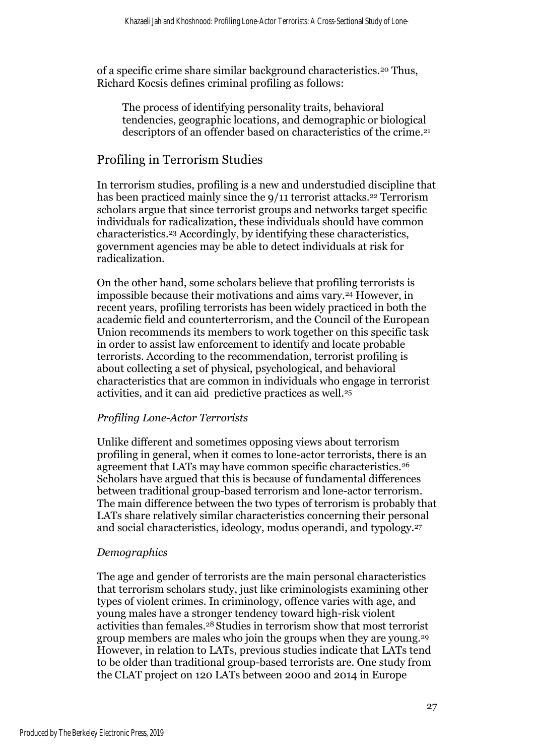of a specific crime share similar background characteristics.<sup>20</sup> Thus, Richard Kocsis defines criminal profiling as follows:

The process of identifying personality traits, behavioral tendencies, geographic locations, and demographic or biological descriptors of an offender based on characteristics of the crime. 21

## Profiling in Terrorism Studies

In terrorism studies, profiling is a new and understudied discipline that has been practiced mainly since the  $9/11$  terrorist attacks.<sup>22</sup> Terrorism scholars argue that since terrorist groups and networks target specific individuals for radicalization, these individuals should have common characteristics.<sup>23</sup> Accordingly, by identifying these characteristics, government agencies may be able to detect individuals at risk for radicalization.

On the other hand, some scholars believe that profiling terrorists is impossible because their motivations and aims vary.<sup>24</sup> However, in recent years, profiling terrorists has been widely practiced in both the academic field and counterterrorism, and the Council of the European Union recommends its members to work together on this specific task in order to assist law enforcement to identify and locate probable terrorists. According to the recommendation, terrorist profiling is about collecting a set of physical, psychological, and behavioral characteristics that are common in individuals who engage in terrorist activities, and it can aid predictive practices as well.<sup>25</sup>

#### *Profiling Lone-Actor Terrorists*

Unlike different and sometimes opposing views about terrorism profiling in general, when it comes to lone-actor terrorists, there is an agreement that LATs may have common specific characteristics.<sup>26</sup> Scholars have argued that this is because of fundamental differences between traditional group-based terrorism and lone-actor terrorism. The main difference between the two types of terrorism is probably that LATs share relatively similar characteristics concerning their personal and social characteristics, ideology, modus operandi, and typology.<sup>27</sup>

#### *Demographics*

The age and gender of terrorists are the main personal characteristics that terrorism scholars study, just like criminologists examining other types of violent crimes. In criminology, offence varies with age, and young males have a stronger tendency toward high-risk violent activities than females.<sup>28</sup> Studies in terrorism show that most terrorist group members are males who join the groups when they are young.<sup>29</sup> However, in relation to LATs, previous studies indicate that LATs tend to be older than traditional group-based terrorists are. One study from the CLAT project on 120 LATs between 2000 and 2014 in Europe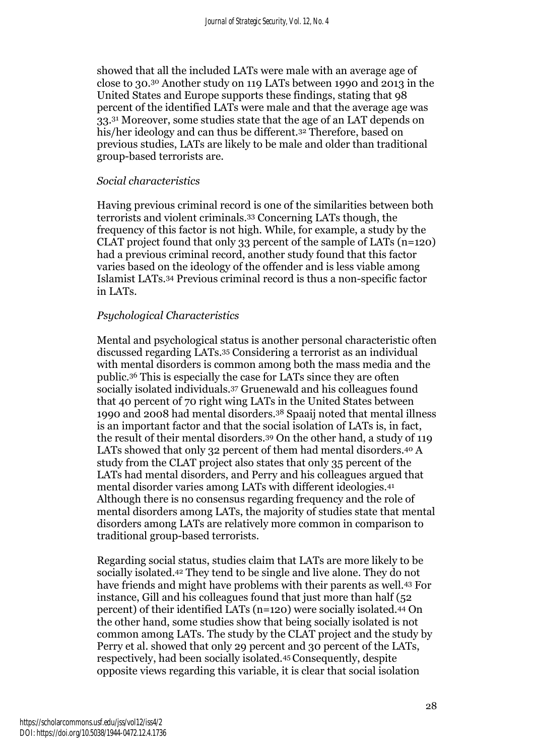showed that all the included LATs were male with an average age of close to 30.<sup>30</sup> Another study on 119 LATs between 1990 and 2013 in the United States and Europe supports these findings, stating that 98 percent of the identified LATs were male and that the average age was 33.<sup>31</sup> Moreover, some studies state that the age of an LAT depends on his/her ideology and can thus be different.<sup>32</sup> Therefore, based on previous studies, LATs are likely to be male and older than traditional group-based terrorists are.

#### *Social characteristics*

Having previous criminal record is one of the similarities between both terrorists and violent criminals.<sup>33</sup> Concerning LATs though, the frequency of this factor is not high. While, for example, a study by the CLAT project found that only 33 percent of the sample of LATs (n=120) had a previous criminal record, another study found that this factor varies based on the ideology of the offender and is less viable among Islamist LATs.<sup>34</sup> Previous criminal record is thus a non-specific factor in LATs.

#### *Psychological Characteristics*

Mental and psychological status is another personal characteristic often discussed regarding LATs.<sup>35</sup> Considering a terrorist as an individual with mental disorders is common among both the mass media and the public.<sup>36</sup> This is especially the case for LATs since they are often socially isolated individuals.<sup>37</sup> Gruenewald and his colleagues found that 40 percent of 70 right wing LATs in the United States between 1990 and 2008 had mental disorders.<sup>38</sup> Spaaij noted that mental illness is an important factor and that the social isolation of LATs is, in fact, the result of their mental disorders. <sup>39</sup> On the other hand, a study of 119 LATs showed that only 32 percent of them had mental disorders.<sup>40</sup> A study from the CLAT project also states that only 35 percent of the LATs had mental disorders, and Perry and his colleagues argued that mental disorder varies among LATs with different ideologies.<sup>41</sup> Although there is no consensus regarding frequency and the role of mental disorders among LATs, the majority of studies state that mental disorders among LATs are relatively more common in comparison to traditional group-based terrorists.

Regarding social status, studies claim that LATs are more likely to be socially isolated.<sup>42</sup> They tend to be single and live alone. They do not have friends and might have problems with their parents as well.<sup>43</sup> For instance, Gill and his colleagues found that just more than half (52 percent) of their identified LATs (n=120) were socially isolated.<sup>44</sup> On the other hand, some studies show that being socially isolated is not common among LATs. The study by the CLAT project and the study by Perry et al. showed that only 29 percent and 30 percent of the LATs, respectively, had been socially isolated.45Consequently, despite opposite views regarding this variable, it is clear that social isolation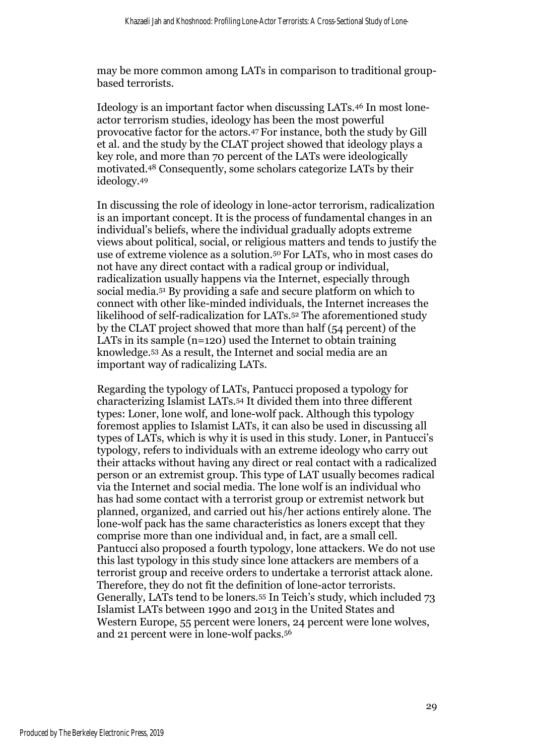may be more common among LATs in comparison to traditional groupbased terrorists.

Ideology is an important factor when discussing LATs.<sup>46</sup> In most loneactor terrorism studies, ideology has been the most powerful provocative factor for the actors.<sup>47</sup> For instance, both the study by Gill et al. and the study by the CLAT project showed that ideology plays a key role, and more than 70 percent of the LATs were ideologically motivated.<sup>48</sup> Consequently, some scholars categorize LATs by their ideology.<sup>49</sup>

In discussing the role of ideology in lone-actor terrorism, radicalization is an important concept. It is the process of fundamental changes in an individual's beliefs, where the individual gradually adopts extreme views about political, social, or religious matters and tends to justify the use of extreme violence as a solution.<sup>50</sup> For LATs, who in most cases do not have any direct contact with a radical group or individual, radicalization usually happens via the Internet, especially through social media. <sup>51</sup> By providing a safe and secure platform on which to connect with other like-minded individuals, the Internet increases the likelihood of self-radicalization for LATs.<sup>52</sup> The aforementioned study by the CLAT project showed that more than half (54 percent) of the LATs in its sample (n=120) used the Internet to obtain training knowledge.<sup>53</sup> As a result, the Internet and social media are an important way of radicalizing LATs.

Regarding the typology of LATs, Pantucci proposed a typology for characterizing Islamist LATs.<sup>54</sup> It divided them into three different types: Loner, lone wolf, and lone-wolf pack. Although this typology foremost applies to Islamist LATs, it can also be used in discussing all types of LATs, which is why it is used in this study. Loner, in Pantucci's typology, refers to individuals with an extreme ideology who carry out their attacks without having any direct or real contact with a radicalized person or an extremist group. This type of LAT usually becomes radical via the Internet and social media. The lone wolf is an individual who has had some contact with a terrorist group or extremist network but planned, organized, and carried out his/her actions entirely alone. The lone-wolf pack has the same characteristics as loners except that they comprise more than one individual and, in fact, are a small cell. Pantucci also proposed a fourth typology, lone attackers. We do not use this last typology in this study since lone attackers are members of a terrorist group and receive orders to undertake a terrorist attack alone. Therefore, they do not fit the definition of lone-actor terrorists. Generally, LATs tend to be loners.<sup>55</sup> In Teich's study, which included 73 Islamist LATs between 1990 and 2013 in the United States and Western Europe, 55 percent were loners, 24 percent were lone wolves, and 21 percent were in lone-wolf packs. 56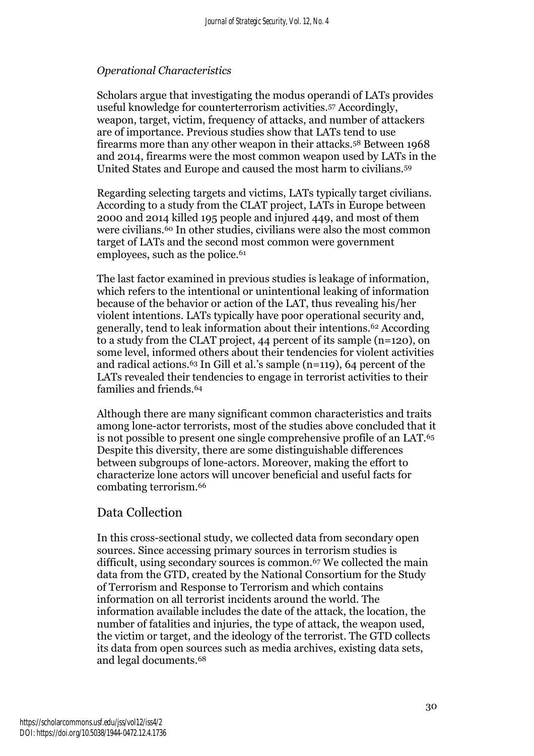#### *Operational Characteristics*

Scholars argue that investigating the modus operandi of LATs provides useful knowledge for counterterrorism activities.<sup>57</sup> Accordingly, weapon, target, victim, frequency of attacks, and number of attackers are of importance. Previous studies show that LATs tend to use firearms more than any other weapon in their attacks.<sup>58</sup> Between 1968 and 2014, firearms were the most common weapon used by LATs in the United States and Europe and caused the most harm to civilians.<sup>59</sup>

Regarding selecting targets and victims, LATs typically target civilians. According to a study from the CLAT project, LATs in Europe between 2000 and 2014 killed 195 people and injured 449, and most of them were civilians.<sup>60</sup> In other studies, civilians were also the most common target of LATs and the second most common were government employees, such as the police.<sup>61</sup>

The last factor examined in previous studies is leakage of information, which refers to the intentional or unintentional leaking of information because of the behavior or action of the LAT, thus revealing his/her violent intentions. LATs typically have poor operational security and, generally, tend to leak information about their intentions.<sup>62</sup> According to a study from the CLAT project, 44 percent of its sample (n=120), on some level, informed others about their tendencies for violent activities and radical actions.<sup>63</sup> In Gill et al.'s sample (n=119), 64 percent of the LATs revealed their tendencies to engage in terrorist activities to their families and friends.<sup>64</sup>

Although there are many significant common characteristics and traits among lone-actor terrorists, most of the studies above concluded that it is not possible to present one single comprehensive profile of an LAT.<sup>65</sup> Despite this diversity, there are some distinguishable differences between subgroups of lone-actors. Moreover, making the effort to characterize lone actors will uncover beneficial and useful facts for combating terrorism.<sup>66</sup>

## Data Collection

In this cross-sectional study, we collected data from secondary open sources. Since accessing primary sources in terrorism studies is difficult, using secondary sources is common.<sup>67</sup> We collected the main data from the GTD, created by the National Consortium for the Study of Terrorism and Response to Terrorism and which contains information on all terrorist incidents around the world. The information available includes the date of the attack, the location, the number of fatalities and injuries, the type of attack, the weapon used, the victim or target, and the ideology of the terrorist. The GTD collects its data from open sources such as media archives, existing data sets, and legal documents. 68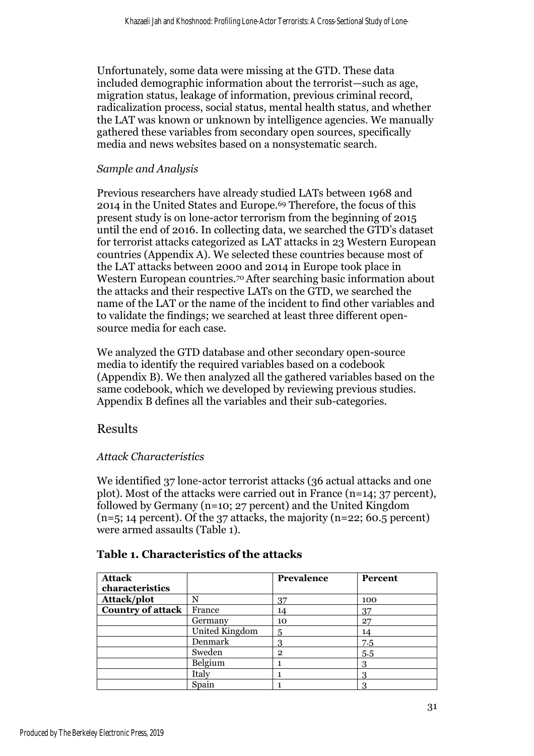Unfortunately, some data were missing at the GTD. These data included demographic information about the terrorist—such as age, migration status, leakage of information, previous criminal record, radicalization process, social status, mental health status, and whether the LAT was known or unknown by intelligence agencies. We manually gathered these variables from secondary open sources, specifically media and news websites based on a nonsystematic search.

#### *Sample and Analysis*

Previous researchers have already studied LATs between 1968 and 2014 in the United States and Europe. <sup>69</sup> Therefore, the focus of this present study is on lone-actor terrorism from the beginning of 2015 until the end of 2016. In collecting data, we searched the GTD's dataset for terrorist attacks categorized as LAT attacks in 23 Western European countries (Appendix A). We selected these countries because most of the LAT attacks between 2000 and 2014 in Europe took place in Western European countries.70After searching basic information about the attacks and their respective LATs on the GTD, we searched the name of the LAT or the name of the incident to find other variables and to validate the findings; we searched at least three different opensource media for each case.

We analyzed the GTD database and other secondary open-source media to identify the required variables based on a codebook (Appendix B). We then analyzed all the gathered variables based on the same codebook, which we developed by reviewing previous studies. Appendix B defines all the variables and their sub-categories.

## Results

#### *Attack Characteristics*

We identified 37 lone-actor terrorist attacks (36 actual attacks and one plot). Most of the attacks were carried out in France (n=14; 37 percent), followed by Germany (n=10; 27 percent) and the United Kingdom  $(n=5; 14$  percent). Of the 37 attacks, the majority  $(n=22; 60.5$  percent) were armed assaults (Table 1).

| <b>Attack</b>            |                | Prevalence   | <b>Percent</b> |
|--------------------------|----------------|--------------|----------------|
| characteristics          |                |              |                |
| Attack/plot              | N              | 37           | 100            |
| <b>Country of attack</b> | France         | 14           | 37             |
|                          | Germany        | 10           | 27             |
|                          | United Kingdom | 5            | 14             |
|                          | Denmark        | 3            | 7.5            |
|                          | Sweden         | $\mathbf{2}$ | 5.5            |
|                          | Belgium        |              | 3              |
|                          | Italy          |              | 3              |
|                          | Spain          |              |                |

#### **Table 1. Characteristics of the attacks**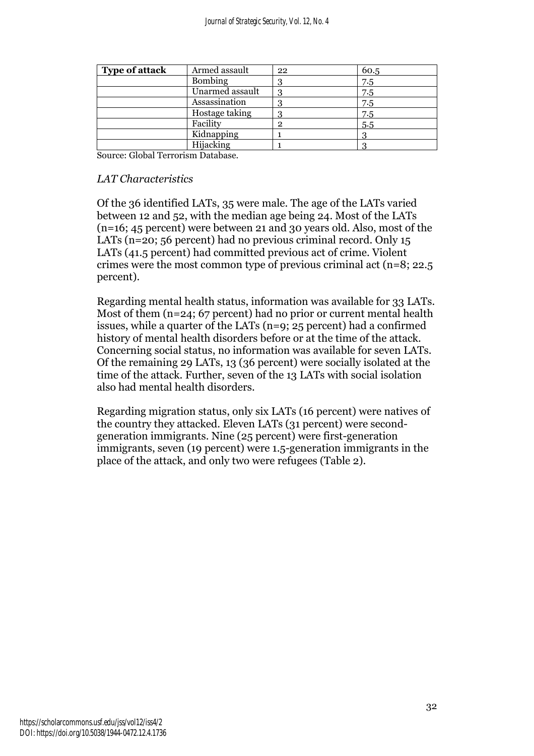| <b>Type of attack</b> | Armed assault   | 22           | 60.5 |
|-----------------------|-----------------|--------------|------|
|                       | <b>Bombing</b>  |              | 7.5  |
|                       | Unarmed assault | 3            | 7.5  |
|                       | Assassination   |              | 7.5  |
|                       | Hostage taking  |              | 7.5  |
|                       | Facility        | $\mathbf{2}$ | 5.5  |
|                       | Kidnapping      |              |      |
|                       | Hijacking       |              |      |

Source: Global Terrorism Database.

#### *LAT Characteristics*

Of the 36 identified LATs, 35 were male. The age of the LATs varied between 12 and 52, with the median age being 24. Most of the LATs (n=16; 45 percent) were between 21 and 30 years old. Also, most of the LATs (n=20; 56 percent) had no previous criminal record. Only 15 LATs (41.5 percent) had committed previous act of crime. Violent crimes were the most common type of previous criminal act (n=8; 22.5 percent).

Regarding mental health status, information was available for 33 LATs. Most of them (n=24; 67 percent) had no prior or current mental health issues, while a quarter of the LATs (n=9; 25 percent) had a confirmed history of mental health disorders before or at the time of the attack. Concerning social status, no information was available for seven LATs. Of the remaining 29 LATs, 13 (36 percent) were socially isolated at the time of the attack. Further, seven of the 13 LATs with social isolation also had mental health disorders.

Regarding migration status, only six LATs (16 percent) were natives of the country they attacked. Eleven LATs (31 percent) were secondgeneration immigrants. Nine (25 percent) were first-generation immigrants, seven (19 percent) were 1.5-generation immigrants in the place of the attack, and only two were refugees (Table 2).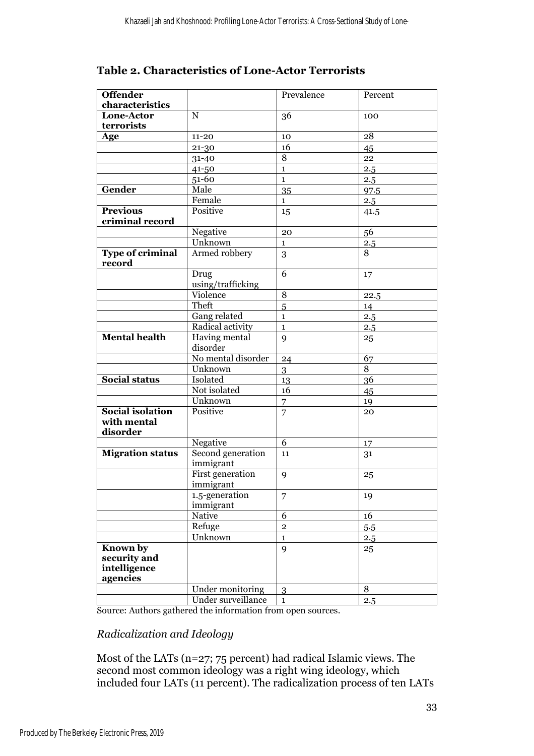## **Table 2. Characteristics of Lone-Actor Terrorists**

| <b>Offender</b>                                      |                                | Prevalence     | Percent        |
|------------------------------------------------------|--------------------------------|----------------|----------------|
| characteristics                                      |                                |                |                |
| <b>Lone-Actor</b>                                    | ${\bf N}$                      | 36             | 100            |
| terrorists                                           |                                |                |                |
| Age                                                  | $11 - 20$                      | 10             | 28             |
|                                                      | $21 - 30$                      | 16             | 45             |
|                                                      | $31 - 40$                      | 8              | 22             |
|                                                      | 41-50                          | $\mathbf{1}$   | 2.5            |
|                                                      | 51-60                          | $\mathbf{1}$   | 2.5            |
| Gender                                               | Male                           | 35             | 97.5           |
|                                                      | Female                         | $\mathbf{1}$   | 2.5            |
| <b>Previous</b>                                      | Positive                       | 15             | 41.5           |
| criminal record                                      |                                |                |                |
|                                                      | Negative                       | 20             | 56             |
|                                                      | Unknown                        | $\mathbf{1}$   | 2.5            |
| <b>Type of criminal</b>                              | Armed robbery                  | 3              | $\overline{8}$ |
| record                                               |                                |                |                |
|                                                      | Drug                           | 6              | 17             |
|                                                      | using/trafficking              |                |                |
|                                                      | Violence                       | 8              | 22.5           |
|                                                      | Theft                          | 5              | 14             |
|                                                      | Gang related                   | $\mathbf{1}$   | 2.5            |
|                                                      | Radical activity               | $\mathbf{1}$   | 2.5            |
| <b>Mental health</b>                                 | Having mental<br>disorder      | 9              | 25             |
|                                                      | No mental disorder             | 24             | 67             |
|                                                      | Unknown                        | 3              | $\overline{8}$ |
| <b>Social status</b>                                 | Isolated                       | 13             | 36             |
|                                                      | Not isolated                   | 16             | 45             |
|                                                      | Unknown                        | $\overline{7}$ | 19             |
| <b>Social isolation</b><br>with mental<br>disorder   | Positive                       | 7              | 20             |
|                                                      | Negative                       | 6              | 17             |
| <b>Migration status</b>                              | Second generation<br>immigrant | 11             | 31             |
|                                                      | First generation<br>immigrant  | 9              | 25             |
|                                                      | 1.5-generation<br>immigrant    | 7              | 19             |
|                                                      | <b>Native</b>                  | 6              | 16             |
|                                                      | Refuge                         | $\overline{2}$ | 5.5            |
|                                                      | Unknown                        | $\mathbf{1}$   | 2.5            |
| Known by<br>security and<br>intelligence<br>agencies |                                | 9              | 25             |
|                                                      | Under monitoring               | 3              | 8              |
|                                                      | Under surveillance             | $\mathbf{1}$   | 2.5            |

Source: Authors gathered the information from open sources.

#### *Radicalization and Ideology*

Most of the LATs (n=27; 75 percent) had radical Islamic views. The second most common ideology was a right wing ideology, which included four LATs (11 percent). The radicalization process of ten LATs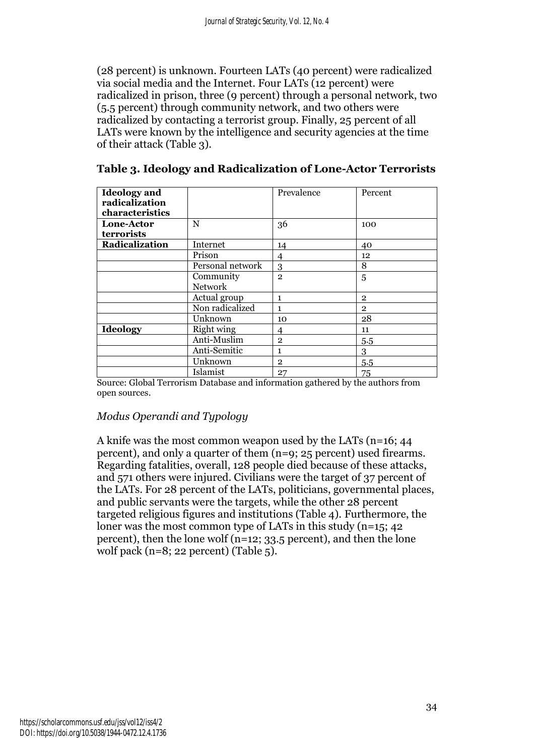(28 percent) is unknown. Fourteen LATs (40 percent) were radicalized via social media and the Internet. Four LATs (12 percent) were radicalized in prison, three (9 percent) through a personal network, two (5.5 percent) through community network, and two others were radicalized by contacting a terrorist group. Finally, 25 percent of all LATs were known by the intelligence and security agencies at the time of their attack (Table 3).

| <b>Ideology</b> and<br>radicalization<br>characteristics |                  | Prevalence     | Percent        |
|----------------------------------------------------------|------------------|----------------|----------------|
| Lone-Actor                                               | $\mathbf N$      | 36             | 100            |
| terrorists                                               |                  |                |                |
| Radicalization                                           | Internet         | 14             | 40             |
|                                                          | Prison           | $\overline{4}$ | 12             |
|                                                          | Personal network | 3              | 8              |
|                                                          | Community        | $\overline{2}$ | 5              |
|                                                          | <b>Network</b>   |                |                |
|                                                          | Actual group     | 1              | $\overline{2}$ |
|                                                          | Non radicalized  | 1              | $\overline{2}$ |
|                                                          | Unknown          | 10             | 28             |
| Ideology                                                 | Right wing       | 4              | 11             |
|                                                          | Anti-Muslim      | $\mathbf{2}$   | 5.5            |
|                                                          | Anti-Semitic     | 1              | 3              |
|                                                          | Unknown          | $\overline{2}$ | 5.5            |
|                                                          | Islamist         | 27             | 75             |

**Table 3. Ideology and Radicalization of Lone-Actor Terrorists**

Source: Global Terrorism Database and information gathered by the authors from open sources.

#### *Modus Operandi and Typology*

A knife was the most common weapon used by the LATs (n=16; 44 percent), and only a quarter of them (n=9; 25 percent) used firearms. Regarding fatalities, overall, 128 people died because of these attacks, and 571 others were injured. Civilians were the target of 37 percent of the LATs. For 28 percent of the LATs, politicians, governmental places, and public servants were the targets, while the other 28 percent targeted religious figures and institutions (Table 4). Furthermore, the loner was the most common type of LATs in this study (n=15; 42 percent), then the lone wolf ( $n=12$ ; 33.5 percent), and then the lone wolf pack (n=8; 22 percent) (Table  $5$ ).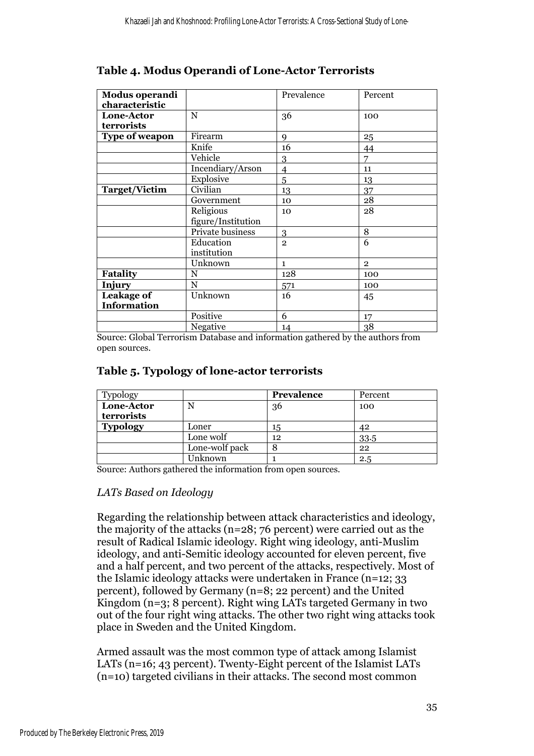### **Table 4. Modus Operandi of Lone-Actor Terrorists**

| Modus operandi<br>characteristic        |                                 | Prevalence     | Percent        |
|-----------------------------------------|---------------------------------|----------------|----------------|
| Lone-Actor<br>terrorists                | N                               | 36             | 100            |
| <b>Type of weapon</b>                   | Firearm                         | $\mathbf Q$    | 25             |
|                                         | Knife                           | 16             | 44             |
|                                         | Vehicle                         | 3              | $\overline{7}$ |
|                                         | Incendiary/Arson                | 4              | 11             |
|                                         | Explosive                       | 5              | 13             |
| <b>Target/Victim</b>                    | Civilian                        | 13             | 37             |
|                                         | Government                      | 10             | 28             |
|                                         | Religious<br>figure/Institution | 10             | 28             |
|                                         | Private business                | 3              | 8              |
|                                         | Education<br>institution        | $\overline{2}$ | 6              |
|                                         | Unknown                         | $\mathbf{1}$   | $\overline{2}$ |
| <b>Fatality</b>                         | N                               | 128            | 100            |
| Injury                                  | $\mathbf N$                     | 571            | 100            |
| <b>Leakage of</b><br><b>Information</b> | Unknown                         | 16             | 45             |
|                                         | Positive                        | 6              | 17             |
|                                         | Negative                        | 14             | 38             |

Source: Global Terrorism Database and information gathered by the authors from open sources.

#### **Table 5. Typology of lone-actor terrorists**

| Typology        |                | Prevalence | Percent |
|-----------------|----------------|------------|---------|
| Lone-Actor      | N              | 36         | 100     |
| terrorists      |                |            |         |
| <b>Typology</b> | Loner          | 15         | 42      |
|                 | Lone wolf      | 12         | 33.5    |
|                 | Lone-wolf pack | Ω          | 22      |
|                 | Unknown        |            | 2.5     |

Source: Authors gathered the information from open sources.

#### *LATs Based on Ideology*

Regarding the relationship between attack characteristics and ideology, the majority of the attacks (n=28; 76 percent) were carried out as the result of Radical Islamic ideology. Right wing ideology, anti-Muslim ideology, and anti-Semitic ideology accounted for eleven percent, five and a half percent, and two percent of the attacks, respectively. Most of the Islamic ideology attacks were undertaken in France (n=12; 33 percent), followed by Germany (n=8; 22 percent) and the United Kingdom (n=3; 8 percent). Right wing LATs targeted Germany in two out of the four right wing attacks. The other two right wing attacks took place in Sweden and the United Kingdom.

Armed assault was the most common type of attack among Islamist LATs (n=16; 43 percent). Twenty-Eight percent of the Islamist LATs (n=10) targeted civilians in their attacks. The second most common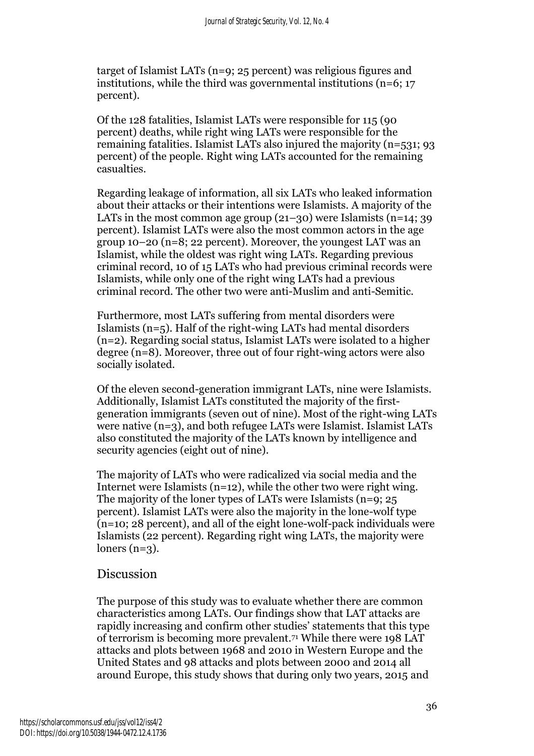target of Islamist LATs (n=9; 25 percent) was religious figures and institutions, while the third was governmental institutions (n=6; 17 percent).

Of the 128 fatalities, Islamist LATs were responsible for 115 (90 percent) deaths, while right wing LATs were responsible for the remaining fatalities. Islamist LATs also injured the majority (n=531; 93 percent) of the people. Right wing LATs accounted for the remaining casualties.

Regarding leakage of information, all six LATs who leaked information about their attacks or their intentions were Islamists. A majority of the LATs in the most common age group (21–30) were Islamists (n=14; 39 percent). Islamist LATs were also the most common actors in the age group 10–20 (n=8; 22 percent). Moreover, the youngest LAT was an Islamist, while the oldest was right wing LATs. Regarding previous criminal record, 10 of 15 LATs who had previous criminal records were Islamists, while only one of the right wing LATs had a previous criminal record. The other two were anti-Muslim and anti-Semitic.

Furthermore, most LATs suffering from mental disorders were Islamists  $(n=5)$ . Half of the right-wing LATs had mental disorders (n=2). Regarding social status, Islamist LATs were isolated to a higher degree (n=8). Moreover, three out of four right-wing actors were also socially isolated.

Of the eleven second-generation immigrant LATs, nine were Islamists. Additionally, Islamist LATs constituted the majority of the firstgeneration immigrants (seven out of nine). Most of the right-wing LATs were native (n=3), and both refugee LATs were Islamist. Islamist LATs also constituted the majority of the LATs known by intelligence and security agencies (eight out of nine).

The majority of LATs who were radicalized via social media and the Internet were Islamists (n=12), while the other two were right wing. The majority of the loner types of LATs were Islamists (n=9; 25 percent). Islamist LATs were also the majority in the lone-wolf type (n=10; 28 percent), and all of the eight lone-wolf-pack individuals were Islamists (22 percent). Regarding right wing LATs, the majority were loners  $(n=3)$ .

## Discussion

The purpose of this study was to evaluate whether there are common characteristics among LATs. Our findings show that LAT attacks are rapidly increasing and confirm other studies' statements that this type of terrorism is becoming more prevalent.<sup>71</sup> While there were 198 LAT attacks and plots between 1968 and 2010 in Western Europe and the United States and 98 attacks and plots between 2000 and 2014 all around Europe, this study shows that during only two years, 2015 and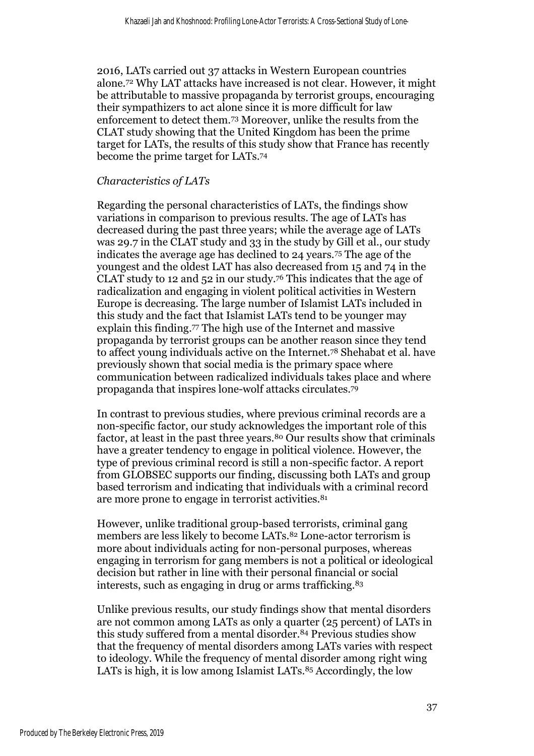2016, LATs carried out 37 attacks in Western European countries alone. <sup>72</sup> Why LAT attacks have increased is not clear. However, it might be attributable to massive propaganda by terrorist groups, encouraging their sympathizers to act alone since it is more difficult for law enforcement to detect them.<sup>73</sup> Moreover, unlike the results from the CLAT study showing that the United Kingdom has been the prime target for LATs, the results of this study show that France has recently become the prime target for LATs.<sup>74</sup>

#### *Characteristics of LATs*

Regarding the personal characteristics of LATs, the findings show variations in comparison to previous results. The age of LATs has decreased during the past three years; while the average age of LATs was 29.7 in the CLAT study and 33 in the study by Gill et al., our study indicates the average age has declined to 24 years.<sup>75</sup> The age of the youngest and the oldest LAT has also decreased from 15 and 74 in the CLAT study to 12 and 52 in our study.<sup>76</sup> This indicates that the age of radicalization and engaging in violent political activities in Western Europe is decreasing. The large number of Islamist LATs included in this study and the fact that Islamist LATs tend to be younger may explain this finding. <sup>77</sup> The high use of the Internet and massive propaganda by terrorist groups can be another reason since they tend to affect young individuals active on the Internet.<sup>78</sup> Shehabat et al. have previously shown that social media is the primary space where communication between radicalized individuals takes place and where propaganda that inspires lone-wolf attacks circulates. 79

In contrast to previous studies, where previous criminal records are a non-specific factor, our study acknowledges the important role of this factor, at least in the past three years.<sup>80</sup> Our results show that criminals have a greater tendency to engage in political violence. However, the type of previous criminal record is still a non-specific factor. A report from GLOBSEC supports our finding, discussing both LATs and group based terrorism and indicating that individuals with a criminal record are more prone to engage in terrorist activities.<sup>81</sup>

However, unlike traditional group-based terrorists, criminal gang members are less likely to become LATs. <sup>82</sup> Lone-actor terrorism is more about individuals acting for non-personal purposes, whereas engaging in terrorism for gang members is not a political or ideological decision but rather in line with their personal financial or social interests, such as engaging in drug or arms trafficking.<sup>83</sup>

Unlike previous results, our study findings show that mental disorders are not common among LATs as only a quarter (25 percent) of LATs in this study suffered from a mental disorder.<sup>84</sup> Previous studies show that the frequency of mental disorders among LATs varies with respect to ideology. While the frequency of mental disorder among right wing LATs is high, it is low among Islamist LATs.<sup>85</sup> Accordingly, the low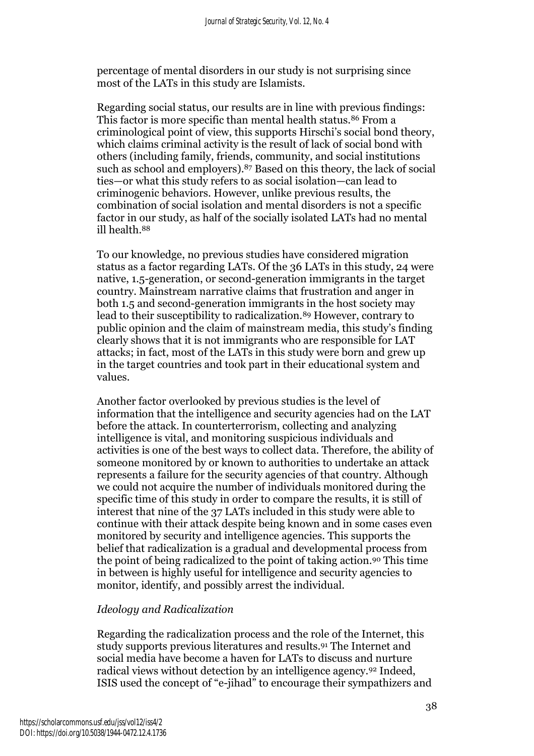percentage of mental disorders in our study is not surprising since most of the LATs in this study are Islamists.

Regarding social status, our results are in line with previous findings: This factor is more specific than mental health status.<sup>86</sup> From a criminological point of view, this supports Hirschi's social bond theory, which claims criminal activity is the result of lack of social bond with others (including family, friends, community, and social institutions such as school and employers). <sup>87</sup> Based on this theory, the lack of social ties—or what this study refers to as social isolation—can lead to criminogenic behaviors. However, unlike previous results, the combination of social isolation and mental disorders is not a specific factor in our study, as half of the socially isolated LATs had no mental ill health.<sup>88</sup>

To our knowledge, no previous studies have considered migration status as a factor regarding LATs. Of the 36 LATs in this study, 24 were native, 1.5-generation, or second-generation immigrants in the target country. Mainstream narrative claims that frustration and anger in both 1.5 and second-generation immigrants in the host society may lead to their susceptibility to radicalization.<sup>89</sup> However, contrary to public opinion and the claim of mainstream media, this study's finding clearly shows that it is not immigrants who are responsible for LAT attacks; in fact, most of the LATs in this study were born and grew up in the target countries and took part in their educational system and values.

Another factor overlooked by previous studies is the level of information that the intelligence and security agencies had on the LAT before the attack. In counterterrorism, collecting and analyzing intelligence is vital, and monitoring suspicious individuals and activities is one of the best ways to collect data. Therefore, the ability of someone monitored by or known to authorities to undertake an attack represents a failure for the security agencies of that country. Although we could not acquire the number of individuals monitored during the specific time of this study in order to compare the results, it is still of interest that nine of the 37 LATs included in this study were able to continue with their attack despite being known and in some cases even monitored by security and intelligence agencies. This supports the belief that radicalization is a gradual and developmental process from the point of being radicalized to the point of taking action.<sup>90</sup> This time in between is highly useful for intelligence and security agencies to monitor, identify, and possibly arrest the individual.

#### *Ideology and Radicalization*

Regarding the radicalization process and the role of the Internet, this study supports previous literatures and results.<sup>91</sup> The Internet and social media have become a haven for LATs to discuss and nurture radical views without detection by an intelligence agency.<sup>92</sup> Indeed, ISIS used the concept of "e-jihad" to encourage their sympathizers and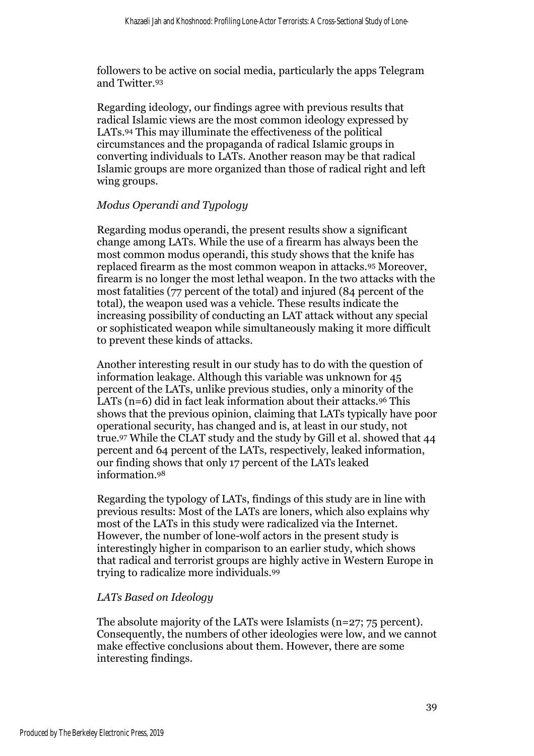followers to be active on social media, particularly the apps Telegram and Twitter.<sup>93</sup>

Regarding ideology, our findings agree with previous results that radical Islamic views are the most common ideology expressed by LATs.<sup>94</sup> This may illuminate the effectiveness of the political circumstances and the propaganda of radical Islamic groups in converting individuals to LATs. Another reason may be that radical Islamic groups are more organized than those of radical right and left wing groups.

#### *Modus Operandi and Typology*

Regarding modus operandi, the present results show a significant change among LATs. While the use of a firearm has always been the most common modus operandi, this study shows that the knife has replaced firearm as the most common weapon in attacks.<sup>95</sup> Moreover, firearm is no longer the most lethal weapon. In the two attacks with the most fatalities (77 percent of the total) and injured (84 percent of the total), the weapon used was a vehicle. These results indicate the increasing possibility of conducting an LAT attack without any special or sophisticated weapon while simultaneously making it more difficult to prevent these kinds of attacks.

Another interesting result in our study has to do with the question of information leakage. Although this variable was unknown for 45 percent of the LATs, unlike previous studies, only a minority of the LATs  $(n=6)$  did in fact leak information about their attacks.<sup>96</sup> This shows that the previous opinion, claiming that LATs typically have poor operational security, has changed and is, at least in our study, not true.<sup>97</sup> While the CLAT study and the study by Gill et al. showed that 44 percent and 64 percent of the LATs, respectively, leaked information, our finding shows that only 17 percent of the LATs leaked information.<sup>98</sup>

Regarding the typology of LATs, findings of this study are in line with previous results: Most of the LATs are loners, which also explains why most of the LATs in this study were radicalized via the Internet. However, the number of lone-wolf actors in the present study is interestingly higher in comparison to an earlier study, which shows that radical and terrorist groups are highly active in Western Europe in trying to radicalize more individuals.<sup>99</sup>

#### *LATs Based on Ideology*

The absolute majority of the LATs were Islamists (n=27; 75 percent). Consequently, the numbers of other ideologies were low, and we cannot make effective conclusions about them. However, there are some interesting findings.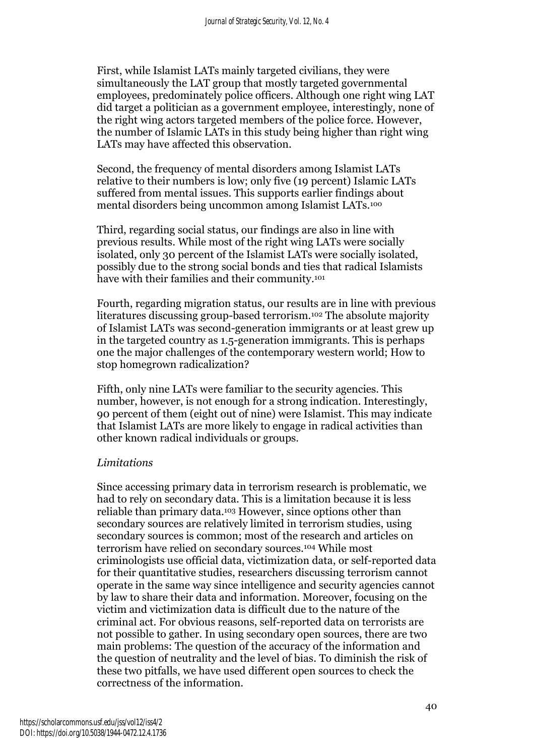First, while Islamist LATs mainly targeted civilians, they were simultaneously the LAT group that mostly targeted governmental employees, predominately police officers. Although one right wing LAT did target a politician as a government employee, interestingly, none of the right wing actors targeted members of the police force. However, the number of Islamic LATs in this study being higher than right wing LATs may have affected this observation.

Second, the frequency of mental disorders among Islamist LATs relative to their numbers is low; only five (19 percent) Islamic LATs suffered from mental issues. This supports earlier findings about mental disorders being uncommon among Islamist LATs.<sup>100</sup>

Third, regarding social status, our findings are also in line with previous results. While most of the right wing LATs were socially isolated, only 30 percent of the Islamist LATs were socially isolated, possibly due to the strong social bonds and ties that radical Islamists have with their families and their community.<sup>101</sup>

Fourth, regarding migration status, our results are in line with previous literatures discussing group-based terrorism. <sup>102</sup> The absolute majority of Islamist LATs was second-generation immigrants or at least grew up in the targeted country as 1.5-generation immigrants. This is perhaps one the major challenges of the contemporary western world; How to stop homegrown radicalization?

Fifth, only nine LATs were familiar to the security agencies. This number, however, is not enough for a strong indication. Interestingly, 90 percent of them (eight out of nine) were Islamist. This may indicate that Islamist LATs are more likely to engage in radical activities than other known radical individuals or groups.

#### *Limitations*

Since accessing primary data in terrorism research is problematic, we had to rely on secondary data. This is a limitation because it is less reliable than primary data.<sup>103</sup> However, since options other than secondary sources are relatively limited in terrorism studies, using secondary sources is common; most of the research and articles on terrorism have relied on secondary sources.<sup>104</sup> While most criminologists use official data, victimization data, or self-reported data for their quantitative studies, researchers discussing terrorism cannot operate in the same way since intelligence and security agencies cannot by law to share their data and information. Moreover, focusing on the victim and victimization data is difficult due to the nature of the criminal act. For obvious reasons, self-reported data on terrorists are not possible to gather. In using secondary open sources, there are two main problems: The question of the accuracy of the information and the question of neutrality and the level of bias. To diminish the risk of these two pitfalls, we have used different open sources to check the correctness of the information.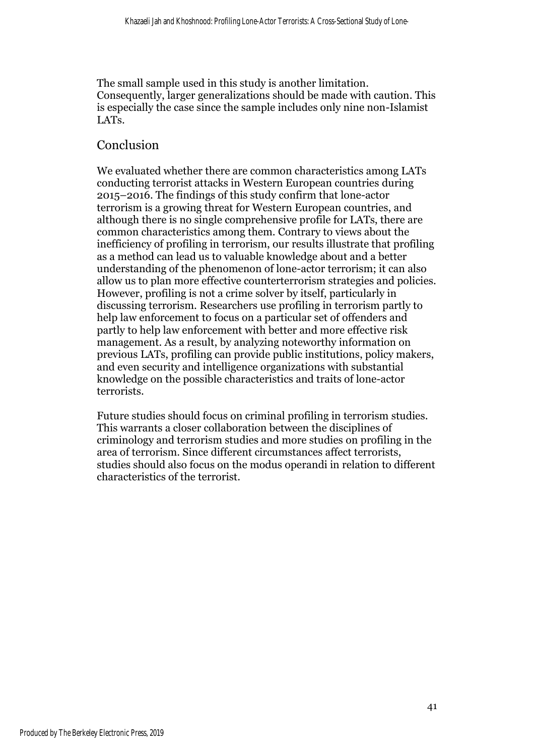The small sample used in this study is another limitation. Consequently, larger generalizations should be made with caution. This is especially the case since the sample includes only nine non-Islamist LATs.

## Conclusion

We evaluated whether there are common characteristics among LATs conducting terrorist attacks in Western European countries during 2015–2016. The findings of this study confirm that lone-actor terrorism is a growing threat for Western European countries, and although there is no single comprehensive profile for LATs, there are common characteristics among them. Contrary to views about the inefficiency of profiling in terrorism, our results illustrate that profiling as a method can lead us to valuable knowledge about and a better understanding of the phenomenon of lone-actor terrorism; it can also allow us to plan more effective counterterrorism strategies and policies. However, profiling is not a crime solver by itself, particularly in discussing terrorism. Researchers use profiling in terrorism partly to help law enforcement to focus on a particular set of offenders and partly to help law enforcement with better and more effective risk management. As a result, by analyzing noteworthy information on previous LATs, profiling can provide public institutions, policy makers, and even security and intelligence organizations with substantial knowledge on the possible characteristics and traits of lone-actor terrorists.

Future studies should focus on criminal profiling in terrorism studies. This warrants a closer collaboration between the disciplines of criminology and terrorism studies and more studies on profiling in the area of terrorism. Since different circumstances affect terrorists, studies should also focus on the modus operandi in relation to different characteristics of the terrorist.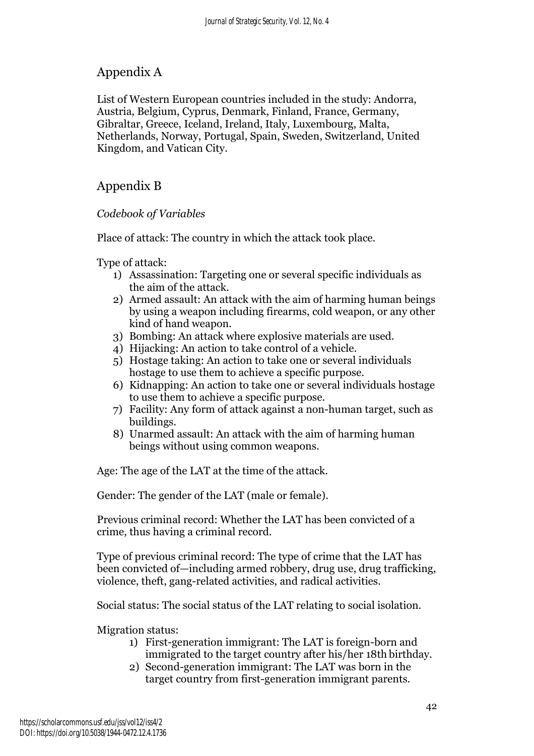## Appendix A

List of Western European countries included in the study: Andorra, Austria, Belgium, Cyprus, Denmark, Finland, France, Germany, Gibraltar, Greece, Iceland, Ireland, Italy, Luxembourg, Malta, Netherlands, Norway, Portugal, Spain, Sweden, Switzerland, United Kingdom, and Vatican City.

## Appendix B

#### *Codebook of Variables*

Place of attack: The country in which the attack took place.

Type of attack:

- 1) Assassination: Targeting one or several specific individuals as the aim of the attack.
- 2) Armed assault: An attack with the aim of harming human beings by using a weapon including firearms, cold weapon, or any other kind of hand weapon.
- 3) Bombing: An attack where explosive materials are used.
- 4) Hijacking: An action to take control of a vehicle.
- 5) Hostage taking: An action to take one or several individuals hostage to use them to achieve a specific purpose.
- 6) Kidnapping: An action to take one or several individuals hostage to use them to achieve a specific purpose.
- 7) Facility: Any form of attack against a non-human target, such as buildings.
- 8) Unarmed assault: An attack with the aim of harming human beings without using common weapons.

Age: The age of the LAT at the time of the attack.

Gender: The gender of the LAT (male or female).

Previous criminal record: Whether the LAT has been convicted of a crime, thus having a criminal record.

Type of previous criminal record: The type of crime that the LAT has been convicted of—including armed robbery, drug use, drug trafficking, violence, theft, gang-related activities, and radical activities.

Social status: The social status of the LAT relating to social isolation.

Migration status:

- 1) First-generation immigrant: The LAT is foreign-born and immigrated to the target country after his/her 18th birthday.
- 2) Second-generation immigrant: The LAT was born in the target country from first-generation immigrant parents.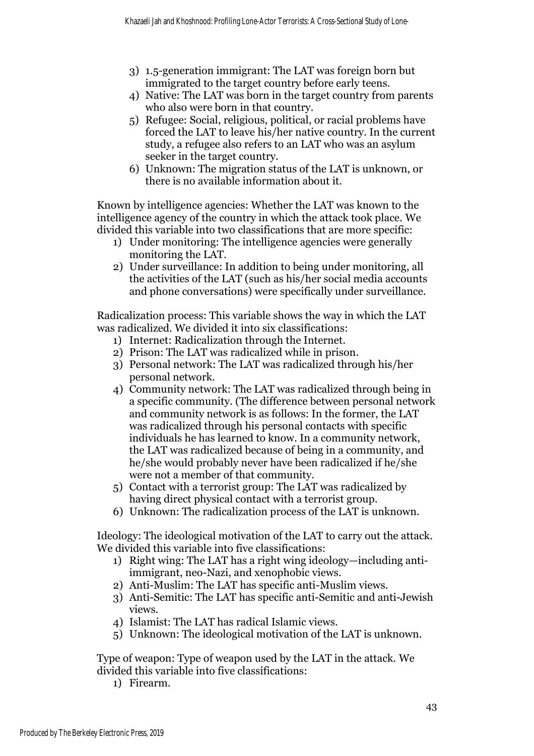- 3) 1.5-generation immigrant: The LAT was foreign born but immigrated to the target country before early teens.
- 4) Native: The LAT was born in the target country from parents who also were born in that country.
- 5) Refugee: Social, religious, political, or racial problems have forced the LAT to leave his/her native country. In the current study, a refugee also refers to an LAT who was an asylum seeker in the target country.
- 6) Unknown: The migration status of the LAT is unknown, or there is no available information about it.

Known by intelligence agencies: Whether the LAT was known to the intelligence agency of the country in which the attack took place. We divided this variable into two classifications that are more specific:

- 1) Under monitoring: The intelligence agencies were generally monitoring the LAT.
- 2) Under surveillance: In addition to being under monitoring, all the activities of the LAT (such as his/her social media accounts and phone conversations) were specifically under surveillance.

Radicalization process: This variable shows the way in which the LAT was radicalized. We divided it into six classifications:

- 1) Internet: Radicalization through the Internet.
- 2) Prison: The LAT was radicalized while in prison.
- 3) Personal network: The LAT was radicalized through his/her personal network.
- 4) Community network: The LAT was radicalized through being in a specific community. (The difference between personal network and community network is as follows: In the former, the LAT was radicalized through his personal contacts with specific individuals he has learned to know. In a community network, the LAT was radicalized because of being in a community, and he/she would probably never have been radicalized if he/she were not a member of that community.
- 5) Contact with a terrorist group: The LAT was radicalized by having direct physical contact with a terrorist group.
- 6) Unknown: The radicalization process of the LAT is unknown.

Ideology: The ideological motivation of the LAT to carry out the attack. We divided this variable into five classifications:

- 1) Right wing: The LAT has a right wing ideology—including antiimmigrant, neo-Nazi, and xenophobic views.
- 2) Anti-Muslim: The LAT has specific anti-Muslim views.
- 3) Anti-Semitic: The LAT has specific anti-Semitic and anti-Jewish views.
- 4) Islamist: The LAT has radical Islamic views.
- 5) Unknown: The ideological motivation of the LAT is unknown.

Type of weapon: Type of weapon used by the LAT in the attack. We divided this variable into five classifications:

1) Firearm.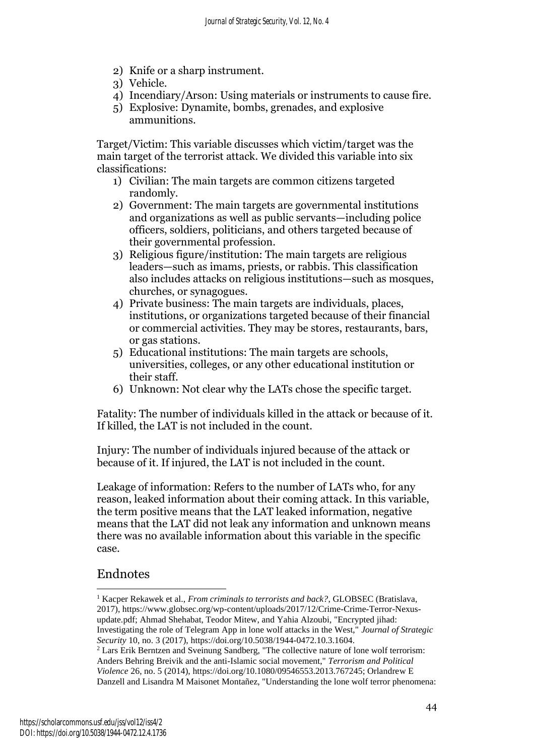- 2) Knife or a sharp instrument.
- 3) Vehicle.
- 4) Incendiary/Arson: Using materials or instruments to cause fire.
- 5) Explosive: Dynamite, bombs, grenades, and explosive ammunitions.

Target/Victim: This variable discusses which victim/target was the main target of the terrorist attack. We divided this variable into six classifications:

- 1) Civilian: The main targets are common citizens targeted randomly.
- 2) Government: The main targets are governmental institutions and organizations as well as public servants—including police officers, soldiers, politicians, and others targeted because of their governmental profession.
- 3) Religious figure/institution: The main targets are religious leaders—such as imams, priests, or rabbis. This classification also includes attacks on religious institutions—such as mosques, churches, or synagogues.
- 4) Private business: The main targets are individuals, places, institutions, or organizations targeted because of their financial or commercial activities. They may be stores, restaurants, bars, or gas stations.
- 5) Educational institutions: The main targets are schools, universities, colleges, or any other educational institution or their staff.
- 6) Unknown: Not clear why the LATs chose the specific target.

Fatality: The number of individuals killed in the attack or because of it. If killed, the LAT is not included in the count.

Injury: The number of individuals injured because of the attack or because of it. If injured, the LAT is not included in the count.

Leakage of information: Refers to the number of LATs who, for any reason, leaked information about their coming attack. In this variable, the term positive means that the LAT leaked information, negative means that the LAT did not leak any information and unknown means there was no available information about this variable in the specific case.

## Endnotes

<sup>&</sup>lt;sup>1</sup> Kacper Rekawek et al., *From criminals to terrorists and back?*, GLOBSEC (Bratislava, 2017), https://www.globsec.org/wp-content/uploads/2017/12/Crime-Crime-Terror-Nexusupdate.pdf; Ahmad Shehabat, Teodor Mitew, and Yahia Alzoubi, "Encrypted jihad: Investigating the role of Telegram App in lone wolf attacks in the West," *Journal of Strategic Security* 10, no. 3 (2017), https://doi.org/10.5038/1944-0472.10.3.1604.

<sup>2</sup> Lars Erik Berntzen and Sveinung Sandberg, "The collective nature of lone wolf terrorism: Anders Behring Breivik and the anti-Islamic social movement," *Terrorism and Political Violence* 26, no. 5 (2014), https://doi.org/10.1080/09546553.2013.767245; Orlandrew E Danzell and Lisandra M Maisonet Montañez, "Understanding the lone wolf terror phenomena: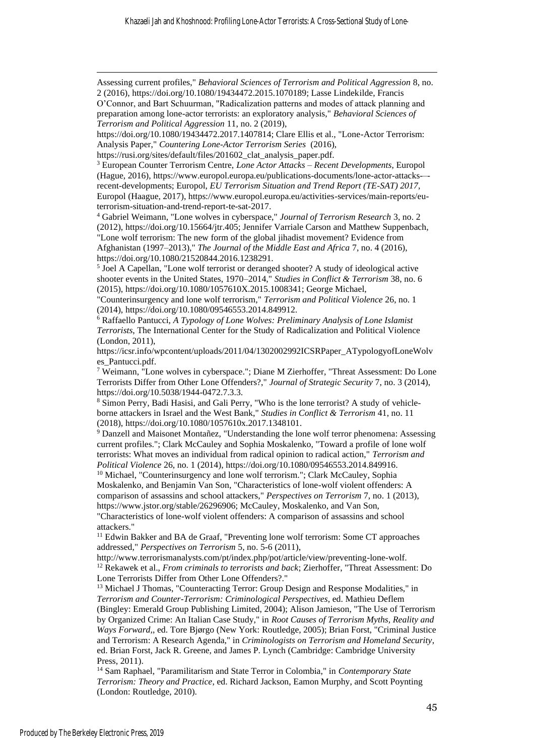Assessing current profiles," *Behavioral Sciences of Terrorism and Political Aggression* 8, no. 2 (2016), https://doi.org/10.1080/19434472.2015.1070189; Lasse Lindekilde, Francis O'Connor, and Bart Schuurman, "Radicalization patterns and modes of attack planning and preparation among lone-actor terrorists: an exploratory analysis," *Behavioral Sciences of Terrorism and Political Aggression* 11, no. 2 (2019),

<sup>3</sup> European Counter Terrorism Centre, *Lone Actor Attacks – Recent Developments*, Europol (Hague, 2016), https://www.europol.europa.eu/publications-documents/lone-actor-attacks-– recent-developments; Europol, *EU Terrorism Situation and Trend Report (TE-SAT) 2017*, Europol (Haague, 2017), https://www.europol.europa.eu/activities-services/main-reports/euterrorism-situation-and-trend-report-te-sat-2017.

<sup>4</sup> Gabriel Weimann, "Lone wolves in cyberspace," *Journal of Terrorism Research* 3, no. 2 (2012), https://doi.org/10.15664/jtr.405; Jennifer Varriale Carson and Matthew Suppenbach, "Lone wolf terrorism: The new form of the global jihadist movement? Evidence from Afghanistan (1997–2013)," *The Journal of the Middle East and Africa* 7, no. 4 (2016),

https://doi.org/10.1080/21520844.2016.1238291.

<sup>5</sup> Joel A Capellan, "Lone wolf terrorist or deranged shooter? A study of ideological active shooter events in the United States, 1970–2014," *Studies in Conflict & Terrorism* 38, no. 6 (2015), https://doi.org/10.1080/1057610X.2015.1008341; George Michael,

"Counterinsurgency and lone wolf terrorism," *Terrorism and Political Violence* 26, no. 1 (2014), https://doi.org/10.1080/09546553.2014.849912.

<sup>6</sup> Raffaello Pantucci, *A Typology of Lone Wolves: Preliminary Analysis of Lone Islamist Terrorists*, The International Center for the Study of Radicalization and Political Violence (London, 2011),

https://icsr.info/wpcontent/uploads/2011/04/1302002992ICSRPaper\_ATypologyofLoneWolv es\_Pantucci.pdf.

<sup>7</sup> Weimann, "Lone wolves in cyberspace."; Diane M Zierhoffer, "Threat Assessment: Do Lone Terrorists Differ from Other Lone Offenders?," *Journal of Strategic Security* 7, no. 3 (2014), https://doi.org/10.5038/1944-0472.7.3.3.

<sup>8</sup> Simon Perry, Badi Hasisi, and Gali Perry, "Who is the lone terrorist? A study of vehicleborne attackers in Israel and the West Bank," *Studies in Conflict & Terrorism* 41, no. 11 (2018), https://doi.org/10.1080/1057610x.2017.1348101.

<sup>9</sup> Danzell and Maisonet Montañez, "Understanding the lone wolf terror phenomena: Assessing current profiles."; Clark McCauley and Sophia Moskalenko, "Toward a profile of lone wolf terrorists: What moves an individual from radical opinion to radical action," *Terrorism and Political Violence* 26, no. 1 (2014), https://doi.org/10.1080/09546553.2014.849916.

<sup>10</sup> Michael, "Counterinsurgency and lone wolf terrorism."; Clark McCauley, Sophia Moskalenko, and Benjamin Van Son, "Characteristics of lone-wolf violent offenders: A comparison of assassins and school attackers," *Perspectives on Terrorism* 7, no. 1 (2013), https://www.jstor.org/stable/26296906; McCauley, Moskalenko, and Van Son, "Characteristics of lone-wolf violent offenders: A comparison of assassins and school

attackers."

<sup>11</sup> Edwin Bakker and BA de Graaf, "Preventing lone wolf terrorism: Some CT approaches addressed," *Perspectives on Terrorism* 5, no. 5-6 (2011),

http://www.terrorismanalysts.com/pt/index.php/pot/article/view/preventing-lone-wolf. <sup>12</sup> Rekawek et al., *From criminals to terrorists and back*; Zierhoffer, "Threat Assessment: Do Lone Terrorists Differ from Other Lone Offenders?."

<sup>13</sup> Michael J Thomas, "Counteracting Terror: Group Design and Response Modalities," in *Terrorism and Counter-Terrorism: Criminological Perspectives*, ed. Mathieu Deflem (Bingley: Emerald Group Publishing Limited, 2004); Alison Jamieson, "The Use of Terrorism by Organized Crime: An Italian Case Study," in *Root Causes of Terrorism Myths, Reality and Ways Forward,*, ed. Tore Bjørgo (New York: Routledge, 2005); Brian Forst, "Criminal Justice and Terrorism: A Research Agenda," in *Criminologists on Terrorism and Homeland Security*, ed. Brian Forst, Jack R. Greene, and James P. Lynch (Cambridge: Cambridge University Press, 2011).

<sup>14</sup> Sam Raphael, "Paramilitarism and State Terror in Colombia," in *Contemporary State Terrorism: Theory and Practice*, ed. Richard Jackson, Eamon Murphy, and Scott Poynting (London: Routledge, 2010).

https://doi.org/10.1080/19434472.2017.1407814; Clare Ellis et al., "Lone-Actor Terrorism: Analysis Paper," *Countering Lone-Actor Terrorism Series* (2016),

https://rusi.org/sites/default/files/201602\_clat\_analysis\_paper.pdf.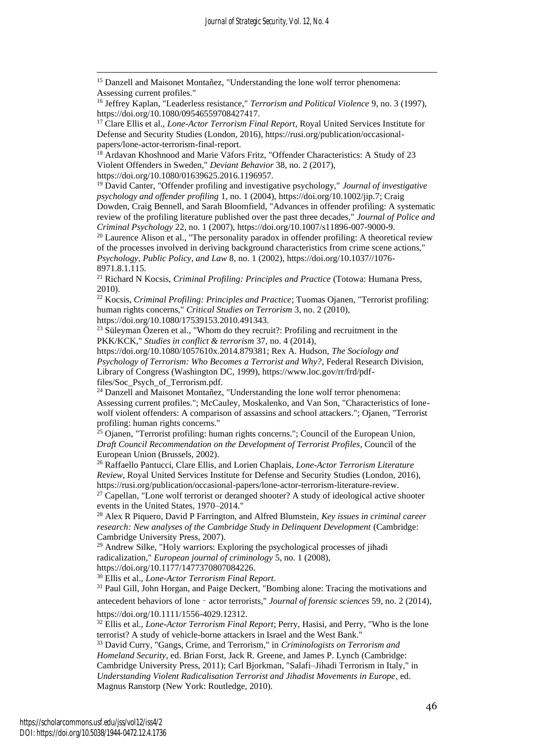*Journal of Strategic Security, Vol. 12, No. 4*

<sup>15</sup> Danzell and Maisonet Montañez, "Understanding the lone wolf terror phenomena: Assessing current profiles."

<sup>18</sup> Ardavan Khoshnood and Marie Väfors Fritz, "Offender Characteristics: A Study of 23 Violent Offenders in Sweden," *Deviant Behavior* 38, no. 2 (2017), https://doi.org/10.1080/01639625.2016.1196957.

<sup>19</sup> David Canter, "Offender profiling and investigative psychology," *Journal of investigative psychology and offender profiling* 1, no. 1 (2004), https://doi.org/10.1002/jip.7; Craig Dowden, Craig Bennell, and Sarah Bloomfield, "Advances in offender profiling: A systematic

review of the profiling literature published over the past three decades," *Journal of Police and Criminal Psychology* 22, no. 1 (2007), https://doi.org/10.1007/s11896-007-9000-9.

 $20$  Laurence Alison et al., "The personality paradox in offender profiling: A theoretical review of the processes involved in deriving background characteristics from crime scene actions," *Psychology, Public Policy, and Law* 8, no. 1 (2002), https://doi.org/10.1037//1076- 8971.8.1.115.

<sup>21</sup> Richard N Kocsis, *Criminal Profiling: Principles and Practice* (Totowa: Humana Press, 2010).

<sup>22</sup> Kocsis, *Criminal Profiling: Principles and Practice*; Tuomas Ojanen, "Terrorist profiling: human rights concerns," *Critical Studies on Terrorism* 3, no. 2 (2010),

https://doi.org/10.1080/17539153.2010.491343.

 $23$  Süleyman Özeren et al., "Whom do they recruit?: Profiling and recruitment in the PKK/KCK," *Studies in conflict & terrorism* 37, no. 4 (2014),

https://doi.org/10.1080/1057610x.2014.879381; Rex A. Hudson, *The Sociology and Psychology of Terrorism: Who Becomes a Terrorist and Why?*, Federal Research Division, Library of Congress (Washington DC, 1999), https://www.loc.gov/rr/frd/pdffiles/Soc\_Psych\_of\_Terrorism.pdf.

<sup>24</sup> Danzell and Maisonet Montañez, "Understanding the lone wolf terror phenomena: Assessing current profiles."; McCauley, Moskalenko, and Van Son, "Characteristics of lonewolf violent offenders: A comparison of assassins and school attackers."; Ojanen, "Terrorist profiling: human rights concerns."

<sup>25</sup> Ojanen, "Terrorist profiling: human rights concerns."; Council of the European Union, *Draft Council Recommendation on the Development of Terrorist Profiles*, Council of the European Union (Brussels, 2002).

<sup>26</sup> Raffaello Pantucci, Clare Ellis, and Lorien Chaplais, *Lone-Actor Terrorism Literature Review*, Royal United Services Institute for Defense and Security Studies (London, 2016), https://rusi.org/publication/occasional-papers/lone-actor-terrorism-literature-review.

 $27$  Capellan, "Lone wolf terrorist or deranged shooter? A study of ideological active shooter events in the United States, 1970–2014."

<sup>28</sup> Alex R Piquero, David P Farrington, and Alfred Blumstein, *Key issues in criminal career research: New analyses of the Cambridge Study in Delinquent Development* (Cambridge: Cambridge University Press, 2007).

 $29$  Andrew Silke, "Holy warriors: Exploring the psychological processes of jihadi radicalization," *European journal of criminology* 5, no. 1 (2008),

https://doi.org/10.1177/1477370807084226.

<sup>30</sup> Ellis et al., *Lone-Actor Terrorism Final Report*.

<sup>31</sup> Paul Gill, John Horgan, and Paige Deckert, "Bombing alone: Tracing the motivations and antecedent behaviors of lone - actor terrorists," *Journal of forensic sciences* 59, no. 2 (2014),

https://doi.org/10.1111/1556-4029.12312.

<sup>32</sup> Ellis et al., *Lone-Actor Terrorism Final Report*; Perry, Hasisi, and Perry, "Who is the lone terrorist? A study of vehicle-borne attackers in Israel and the West Bank."

<sup>33</sup> David Curry, "Gangs, Crime, and Terrorism," in *Criminologists on Terrorism and Homeland Security*, ed. Brian Forst, Jack R. Greene, and James P. Lynch (Cambridge: Cambridge University Press, 2011); Carl Bjorkman, "Salafi–Jihadi Terrorism in Italy," in *Understanding Violent Radicalisation Terrorist and Jihadist Movements in Europe*, ed. Magnus Ranstorp (New York: Routledge, 2010).

<sup>16</sup> Jeffrey Kaplan, "Leaderless resistance," *Terrorism and Political Violence* 9, no. 3 (1997), https://doi.org/10.1080/09546559708427417.

<sup>17</sup> Clare Ellis et al., *Lone-Actor Terrorism Final Report*, Royal United Services Institute for Defense and Security Studies (London, 2016), https://rusi.org/publication/occasionalpapers/lone-actor-terrorism-final-report.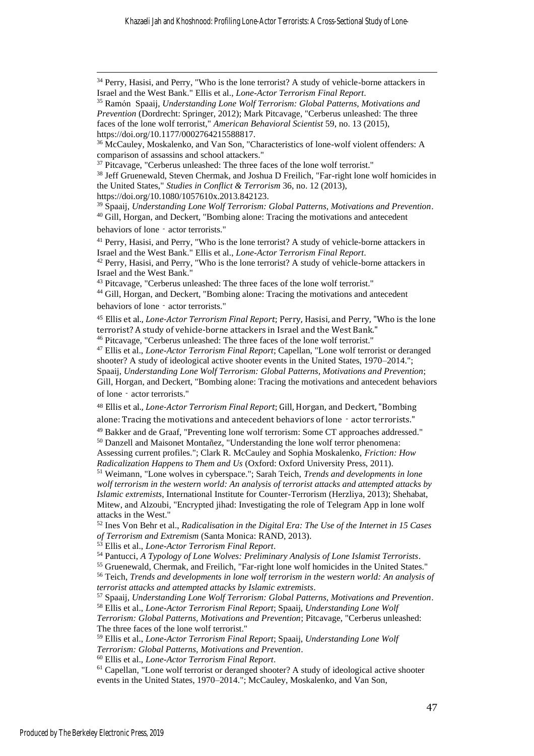Khazaeli Jah and Khoshnood: Profiling Lone-Actor Terrorists: A Cross-Sectional Study of Lone-

<sup>38</sup> Jeff Gruenewald, Steven Chermak, and Joshua D Freilich, "Far-right lone wolf homicides in the United States," *Studies in Conflict & Terrorism* 36, no. 12 (2013),

https://doi.org/10.1080/1057610x.2013.842123.

<sup>39</sup> Spaaij, *Understanding Lone Wolf Terrorism: Global Patterns, Motivations and Prevention*.

<sup>45</sup> Ellis et al., *Lone-Actor Terrorism Final Report*; Perry, Hasisi, and Perry, "Who is the lone terrorist? A study of vehicle-borne attackers in Israel and the West Bank."

<sup>46</sup> Pitcavage, "Cerberus unleashed: The three faces of the lone wolf terrorist."

<sup>47</sup> Ellis et al., *Lone-Actor Terrorism Final Report*; Capellan, "Lone wolf terrorist or deranged shooter? A study of ideological active shooter events in the United States, 1970–2014."; Spaaij, *Understanding Lone Wolf Terrorism: Global Patterns, Motivations and Prevention*; Gill, Horgan, and Deckert, "Bombing alone: Tracing the motivations and antecedent behaviors of lone - actor terrorists."

<sup>48</sup> Ellis et al., *Lone-Actor Terrorism Final Report*; Gill, Horgan, and Deckert, "Bombing alone: Tracing the motivations and antecedent behaviors of lone - actor terrorists."

<sup>49</sup> Bakker and de Graaf, "Preventing lone wolf terrorism: Some CT approaches addressed."

<sup>50</sup> Danzell and Maisonet Montañez, "Understanding the lone wolf terror phenomena: Assessing current profiles."; Clark R. McCauley and Sophia Moskalenko, *Friction: How* 

*Radicalization Happens to Them and Us* (Oxford: Oxford University Press, 2011).

<sup>51</sup> Weimann, "Lone wolves in cyberspace."; Sarah Teich, *Trends and developments in lone wolf terrorism in the western world: An analysis of terrorist attacks and attempted attacks by Islamic extremists*, International Institute for Counter-Terrorism (Herzliya, 2013); Shehabat, Mitew, and Alzoubi, "Encrypted jihad: Investigating the role of Telegram App in lone wolf attacks in the West."

<sup>52</sup> Ines Von Behr et al., *Radicalisation in the Digital Era: The Use of the Internet in 15 Cases of Terrorism and Extremism* (Santa Monica: RAND, 2013).

<sup>53</sup> Ellis et al., *Lone-Actor Terrorism Final Report*.

<sup>54</sup> Pantucci, *A Typology of Lone Wolves: Preliminary Analysis of Lone Islamist Terrorists*.

<sup>55</sup> Gruenewald, Chermak, and Freilich, "Far-right lone wolf homicides in the United States."

<sup>56</sup> Teich, *Trends and developments in lone wolf terrorism in the western world: An analysis of terrorist attacks and attempted attacks by Islamic extremists*.

<sup>57</sup> Spaaij, *Understanding Lone Wolf Terrorism: Global Patterns, Motivations and Prevention*. <sup>58</sup> Ellis et al., *Lone-Actor Terrorism Final Report*; Spaaij, *Understanding Lone Wolf* 

*Terrorism: Global Patterns, Motivations and Prevention*; Pitcavage, "Cerberus unleashed: The three faces of the lone wolf terrorist."

<sup>59</sup> Ellis et al., *Lone-Actor Terrorism Final Report*; Spaaij, *Understanding Lone Wolf Terrorism: Global Patterns, Motivations and Prevention*.

<sup>60</sup> Ellis et al., *Lone-Actor Terrorism Final Report*.

<sup>61</sup> Capellan, "Lone wolf terrorist or deranged shooter? A study of ideological active shooter events in the United States, 1970–2014."; McCauley, Moskalenko, and Van Son,

<sup>&</sup>lt;sup>34</sup> Perry, Hasisi, and Perry, "Who is the lone terrorist? A study of vehicle-borne attackers in Israel and the West Bank." Ellis et al., *Lone-Actor Terrorism Final Report*.

<sup>35</sup> Ramón Spaaij, *Understanding Lone Wolf Terrorism: Global Patterns, Motivations and Prevention* (Dordrecht: Springer, 2012); Mark Pitcavage, "Cerberus unleashed: The three faces of the lone wolf terrorist," *American Behavioral Scientist* 59, no. 13 (2015), https://doi.org/10.1177/0002764215588817.

<sup>36</sup> McCauley, Moskalenko, and Van Son, "Characteristics of lone-wolf violent offenders: A comparison of assassins and school attackers."

<sup>&</sup>lt;sup>37</sup> Pitcavage, "Cerberus unleashed: The three faces of the lone wolf terrorist."

<sup>40</sup> Gill, Horgan, and Deckert, "Bombing alone: Tracing the motivations and antecedent behaviors of lone - actor terrorists."

<sup>&</sup>lt;sup>41</sup> Perry, Hasisi, and Perry, "Who is the lone terrorist? A study of vehicle-borne attackers in Israel and the West Bank." Ellis et al., *Lone-Actor Terrorism Final Report*.

<sup>&</sup>lt;sup>42</sup> Perry, Hasisi, and Perry, "Who is the lone terrorist? A study of vehicle-borne attackers in Israel and the West Bank."

<sup>43</sup> Pitcavage, "Cerberus unleashed: The three faces of the lone wolf terrorist."

<sup>44</sup> Gill, Horgan, and Deckert, "Bombing alone: Tracing the motivations and antecedent behaviors of lone - actor terrorists."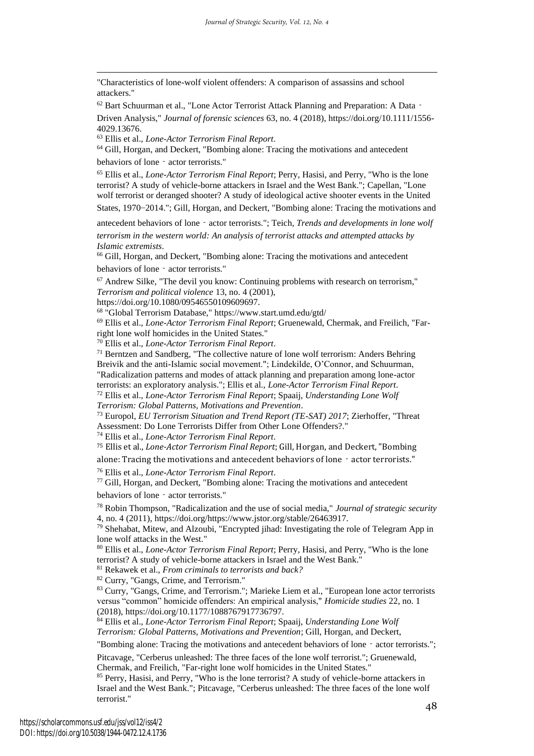"Characteristics of lone-wolf violent offenders: A comparison of assassins and school attackers."

<sup>62</sup> Bart Schuurman et al., "Lone Actor Terrorist Attack Planning and Preparation: A Data‐

Driven Analysis," *Journal of forensic sciences* 63, no. 4 (2018), https://doi.org/10.1111/1556- 4029.13676.

<sup>63</sup> Ellis et al., *Lone-Actor Terrorism Final Report*.

<sup>64</sup> Gill, Horgan, and Deckert, "Bombing alone: Tracing the motivations and antecedent behaviors of lone - actor terrorists."

<sup>65</sup> Ellis et al., *Lone-Actor Terrorism Final Report*; Perry, Hasisi, and Perry, "Who is the lone terrorist? A study of vehicle-borne attackers in Israel and the West Bank."; Capellan, "Lone wolf terrorist or deranged shooter? A study of ideological active shooter events in the United States, 1970–2014."; Gill, Horgan, and Deckert, "Bombing alone: Tracing the motivations and

antecedent behaviors of lone‐actor terrorists."; Teich, *Trends and developments in lone wolf* 

*terrorism in the western world: An analysis of terrorist attacks and attempted attacks by Islamic extremists*.

<sup>66</sup> Gill, Horgan, and Deckert, "Bombing alone: Tracing the motivations and antecedent behaviors of lone - actor terrorists."

 $67$  Andrew Silke, "The devil you know: Continuing problems with research on terrorism," *Terrorism and political violence* 13, no. 4 (2001),

https://doi.org/10.1080/09546550109609697.

<sup>68</sup> "Global Terrorism Database," https://www.start.umd.edu/gtd/

<sup>69</sup> Ellis et al., *Lone-Actor Terrorism Final Report*; Gruenewald, Chermak, and Freilich, "Farright lone wolf homicides in the United States."

<sup>70</sup> Ellis et al., *Lone-Actor Terrorism Final Report*.

 $71$  Berntzen and Sandberg, "The collective nature of lone wolf terrorism: Anders Behring Breivik and the anti-Islamic social movement."; Lindekilde, O'Connor, and Schuurman, "Radicalization patterns and modes of attack planning and preparation among lone-actor terrorists: an exploratory analysis."; Ellis et al., *Lone-Actor Terrorism Final Report*.

<sup>72</sup> Ellis et al., *Lone-Actor Terrorism Final Report*; Spaaij, *Understanding Lone Wolf Terrorism: Global Patterns, Motivations and Prevention*.

<sup>73</sup> Europol, *EU Terrorism Situation and Trend Report (TE-SAT) 2017*; Zierhoffer, "Threat Assessment: Do Lone Terrorists Differ from Other Lone Offenders?."

<sup>74</sup> Ellis et al., *Lone-Actor Terrorism Final Report*.

<sup>75</sup> Ellis et al., *Lone-Actor Terrorism Final Report*; Gill, Horgan, and Deckert, "Bombing alone: Tracing the motivations and antecedent behaviors of lone - actor terrorists."

<sup>76</sup> Ellis et al., *Lone-Actor Terrorism Final Report*.

<sup>77</sup> Gill, Horgan, and Deckert, "Bombing alone: Tracing the motivations and antecedent behaviors of lone - actor terrorists."

<sup>78</sup> Robin Thompson, "Radicalization and the use of social media," *Journal of strategic security* 4, no. 4 (2011), https://doi.org/https://www.jstor.org/stable/26463917.

<sup>79</sup> Shehabat, Mitew, and Alzoubi, "Encrypted jihad: Investigating the role of Telegram App in lone wolf attacks in the West."

<sup>80</sup> Ellis et al., *Lone-Actor Terrorism Final Report*; Perry, Hasisi, and Perry, "Who is the lone terrorist? A study of vehicle-borne attackers in Israel and the West Bank."

<sup>81</sup> Rekawek et al., *From criminals to terrorists and back?*

<sup>82</sup> Curry, "Gangs, Crime, and Terrorism."

83 Curry, "Gangs, Crime, and Terrorism."; Marieke Liem et al., "European lone actor terrorists versus "common" homicide offenders: An empirical analysis," *Homicide studies* 22, no. 1 (2018), https://doi.org/10.1177/1088767917736797.

<sup>84</sup> Ellis et al., *Lone-Actor Terrorism Final Report*; Spaaij, *Understanding Lone Wolf Terrorism: Global Patterns, Motivations and Prevention*; Gill, Horgan, and Deckert,

"Bombing alone: Tracing the motivations and antecedent behaviors of lone – actor terrorists.";

Pitcavage, "Cerberus unleashed: The three faces of the lone wolf terrorist."; Gruenewald,

Chermak, and Freilich, "Far-right lone wolf homicides in the United States."

<sup>85</sup> Perry, Hasisi, and Perry, "Who is the lone terrorist? A study of vehicle-borne attackers in Israel and the West Bank."; Pitcavage, "Cerberus unleashed: The three faces of the lone wolf terrorist."